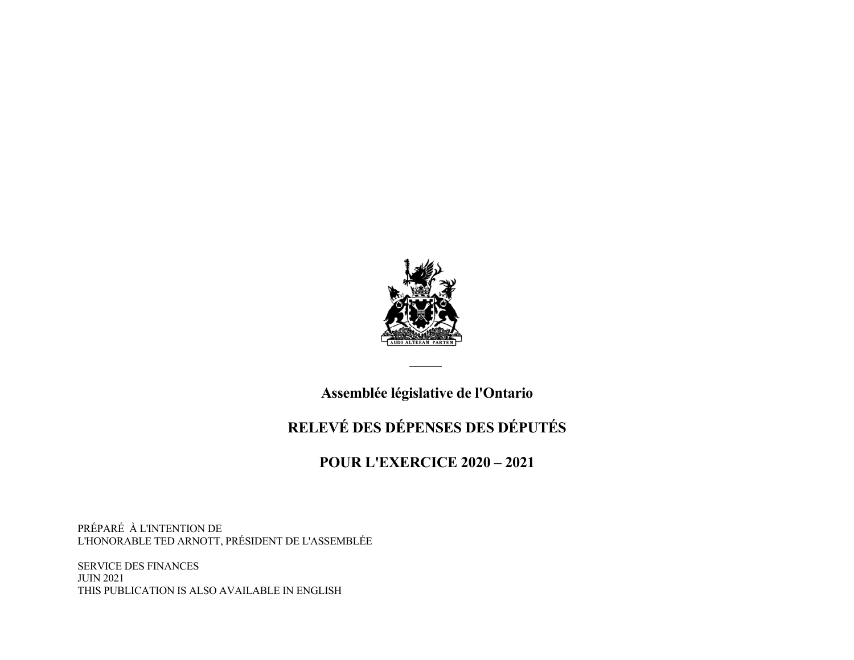

 **Assemblée législative de l'Ontario**

# **RELEVÉ DES DÉPENSES DES DÉPUTÉS**

# **POUR L'EXERCICE 2020 – 2021**

PRÉPARÉ À L'INTENTION DE L'HONORABLE TED ARNOTT, PRÉSIDENT DE L'ASSEMBLÉE

SERVICE DES FINANCES JUIN 2021 THIS PUBLICATION IS ALSO AVAILABLE IN ENGLISH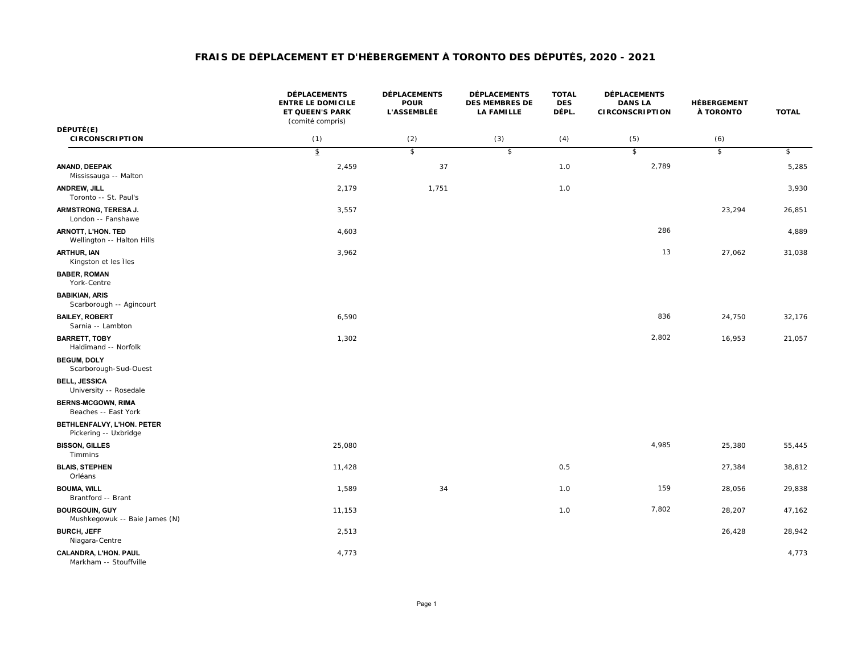|                                                        | <b>DÉPLACEMENTS</b><br><b>ENTRE LE DOMICILE</b><br><b>ET QUEEN'S PARK</b><br>(comité compris) | <b>DÉPLACEMENTS</b><br><b>POUR</b><br><b>L'ASSEMBLÉE</b> | <b>DÉPLACEMENTS</b><br><b>DES MEMBRES DE</b><br><b>LA FAMILLE</b> | <b>TOTAL</b><br><b>DES</b><br>DÉPL. | <b>DÉPLACEMENTS</b><br><b>DANS LA</b><br><b>CIRCONSCRIPTION</b> | HÉBERGEMENT<br>À TORONTO | <b>TOTAL</b>   |
|--------------------------------------------------------|-----------------------------------------------------------------------------------------------|----------------------------------------------------------|-------------------------------------------------------------------|-------------------------------------|-----------------------------------------------------------------|--------------------------|----------------|
| DÉPUTÉ(E)<br><b>CIRCONSCRIPTION</b>                    | (1)                                                                                           | (2)                                                      | (3)                                                               | (4)                                 | (5)                                                             | (6)                      |                |
|                                                        | $\mathfrak{D}$                                                                                | $\overline{\mathcal{E}}$                                 | \$                                                                |                                     | $\sqrt{2}$                                                      | $\sqrt{2}$               | $\mathfrak{s}$ |
| ANAND, DEEPAK<br>Mississauga -- Malton                 | 2,459                                                                                         | 37                                                       |                                                                   | 1.0                                 | 2,789                                                           |                          | 5,285          |
| ANDREW, JILL<br>Toronto -- St. Paul's                  | 2,179                                                                                         | 1,751                                                    |                                                                   | 1.0                                 |                                                                 |                          | 3,930          |
| ARMSTRONG, TERESA J.<br>London -- Fanshawe             | 3,557                                                                                         |                                                          |                                                                   |                                     |                                                                 | 23,294                   | 26,851         |
| ARNOTT, L'HON. TED<br>Wellington -- Halton Hills       | 4,603                                                                                         |                                                          |                                                                   |                                     | 286                                                             |                          | 4,889          |
| <b>ARTHUR, IAN</b><br>Kingston et les Îles             | 3,962                                                                                         |                                                          |                                                                   |                                     | 13                                                              | 27,062                   | 31,038         |
| <b>BABER, ROMAN</b><br>York-Centre                     |                                                                                               |                                                          |                                                                   |                                     |                                                                 |                          |                |
| <b>BABIKIAN, ARIS</b><br>Scarborough -- Agincourt      |                                                                                               |                                                          |                                                                   |                                     |                                                                 |                          |                |
| <b>BAILEY, ROBERT</b><br>Sarnia -- Lambton             | 6,590                                                                                         |                                                          |                                                                   |                                     | 836                                                             | 24,750                   | 32,176         |
| <b>BARRETT, TOBY</b><br>Haldimand -- Norfolk           | 1,302                                                                                         |                                                          |                                                                   |                                     | 2,802                                                           | 16,953                   | 21,057         |
| <b>BEGUM, DOLY</b><br>Scarborough-Sud-Ouest            |                                                                                               |                                                          |                                                                   |                                     |                                                                 |                          |                |
| <b>BELL, JESSICA</b><br>University -- Rosedale         |                                                                                               |                                                          |                                                                   |                                     |                                                                 |                          |                |
| <b>BERNS-MCGOWN, RIMA</b><br>Beaches -- East York      |                                                                                               |                                                          |                                                                   |                                     |                                                                 |                          |                |
| BETHLENFALVY, L'HON. PETER<br>Pickering -- Uxbridge    |                                                                                               |                                                          |                                                                   |                                     |                                                                 |                          |                |
| <b>BISSON, GILLES</b><br><b>Timmins</b>                | 25,080                                                                                        |                                                          |                                                                   |                                     | 4,985                                                           | 25,380                   | 55,445         |
| <b>BLAIS, STEPHEN</b><br>Orléans                       | 11,428                                                                                        |                                                          |                                                                   | 0.5                                 |                                                                 | 27,384                   | 38,812         |
| <b>BOUMA, WILL</b><br>Brantford -- Brant               | 1,589                                                                                         | 34                                                       |                                                                   | 1.0                                 | 159                                                             | 28,056                   | 29,838         |
| <b>BOURGOUIN, GUY</b><br>Mushkegowuk -- Baie James (N) | 11,153                                                                                        |                                                          |                                                                   | 1.0                                 | 7,802                                                           | 28,207                   | 47,162         |
| <b>BURCH, JEFF</b><br>Niagara-Centre                   | 2,513                                                                                         |                                                          |                                                                   |                                     |                                                                 | 26,428                   | 28,942         |
| CALANDRA, L'HON. PAUL<br>Markham -- Stouffville        | 4,773                                                                                         |                                                          |                                                                   |                                     |                                                                 |                          | 4,773          |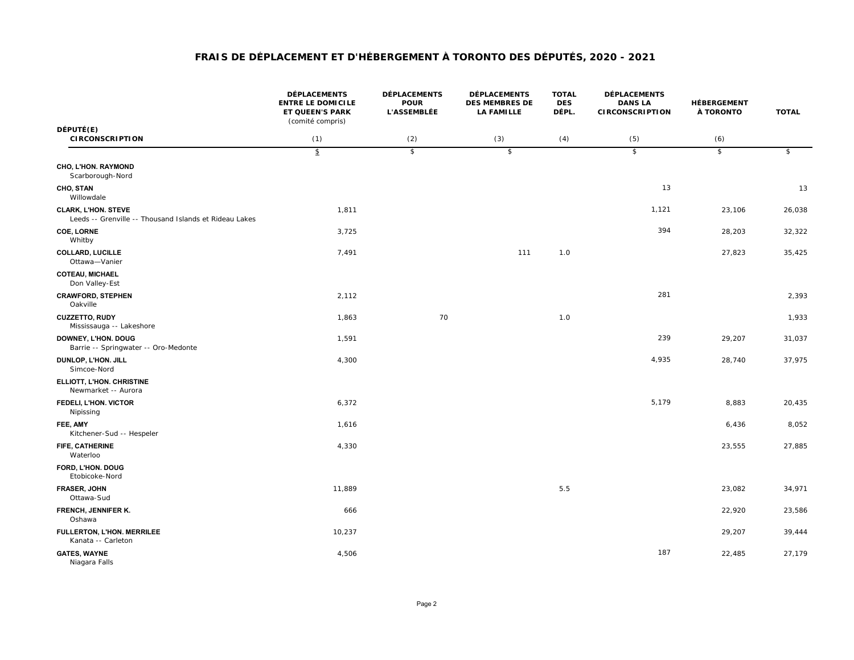|                                                                                      | <b>DÉPLACEMENTS</b><br><b>ENTRE LE DOMICILE</b><br>ET QUEEN'S PARK<br>(comité compris) | <b>DÉPLACEMENTS</b><br><b>POUR</b><br><b>L'ASSEMBLÉE</b> | <b>DÉPLACEMENTS</b><br><b>DES MEMBRES DE</b><br><b>LA FAMILLE</b> | <b>TOTAL</b><br><b>DES</b><br>DÉPL. | <b>DÉPLACEMENTS</b><br><b>DANS LA</b><br><b>CIRCONSCRIPTION</b> | HÉBERGEMENT<br>À TORONTO | <b>TOTAL</b>             |
|--------------------------------------------------------------------------------------|----------------------------------------------------------------------------------------|----------------------------------------------------------|-------------------------------------------------------------------|-------------------------------------|-----------------------------------------------------------------|--------------------------|--------------------------|
| DÉPUTÉ(E)<br><b>CIRCONSCRIPTION</b>                                                  | (1)                                                                                    | (2)                                                      | (3)                                                               | (4)                                 | (5)                                                             | (6)                      |                          |
|                                                                                      | $\mathfrak{p}$                                                                         | $\overline{\mathcal{E}}$                                 | $\overline{\mathcal{E}}$                                          |                                     | $\overline{\mathcal{L}}$                                        | $\overline{\mathcal{E}}$ | $\overline{\mathcal{E}}$ |
| CHO, L'HON. RAYMOND<br>Scarborough-Nord                                              |                                                                                        |                                                          |                                                                   |                                     |                                                                 |                          |                          |
| CHO, STAN<br>Willowdale                                                              |                                                                                        |                                                          |                                                                   |                                     | 13                                                              |                          | 13                       |
| <b>CLARK, L'HON. STEVE</b><br>Leeds -- Grenville -- Thousand Islands et Rideau Lakes | 1,811                                                                                  |                                                          |                                                                   |                                     | 1,121                                                           | 23,106                   | 26,038                   |
| <b>COE, LORNE</b><br>Whitby                                                          | 3,725                                                                                  |                                                          |                                                                   |                                     | 394                                                             | 28,203                   | 32,322                   |
| <b>COLLARD, LUCILLE</b><br>Ottawa-Vanier                                             | 7,491                                                                                  |                                                          | 111                                                               | 1.0                                 |                                                                 | 27,823                   | 35,425                   |
| <b>COTEAU, MICHAEL</b><br>Don Valley-Est                                             |                                                                                        |                                                          |                                                                   |                                     |                                                                 |                          |                          |
| <b>CRAWFORD, STEPHEN</b><br>Oakville                                                 | 2,112                                                                                  |                                                          |                                                                   |                                     | 281                                                             |                          | 2,393                    |
| CUZZETTO, RUDY<br>Mississauga -- Lakeshore                                           | 1,863                                                                                  | 70                                                       |                                                                   | 1.0                                 |                                                                 |                          | 1,933                    |
| DOWNEY, L'HON. DOUG<br>Barrie -- Springwater -- Oro-Medonte                          | 1,591                                                                                  |                                                          |                                                                   |                                     | 239                                                             | 29,207                   | 31,037                   |
| DUNLOP, L'HON. JILL<br>Simcoe-Nord                                                   | 4,300                                                                                  |                                                          |                                                                   |                                     | 4,935                                                           | 28,740                   | 37,975                   |
| ELLIOTT, L'HON. CHRISTINE<br>Newmarket -- Aurora                                     |                                                                                        |                                                          |                                                                   |                                     |                                                                 |                          |                          |
| FEDELI, L'HON. VICTOR<br>Nipissing                                                   | 6,372                                                                                  |                                                          |                                                                   |                                     | 5,179                                                           | 8,883                    | 20,435                   |
| FEE, AMY<br>Kitchener-Sud -- Hespeler                                                | 1,616                                                                                  |                                                          |                                                                   |                                     |                                                                 | 6,436                    | 8,052                    |
| FIFE, CATHERINE<br>Waterloo                                                          | 4,330                                                                                  |                                                          |                                                                   |                                     |                                                                 | 23,555                   | 27,885                   |
| FORD, L'HON. DOUG<br>Etobicoke-Nord                                                  |                                                                                        |                                                          |                                                                   |                                     |                                                                 |                          |                          |
| FRASER, JOHN<br>Ottawa-Sud                                                           | 11,889                                                                                 |                                                          |                                                                   | 5.5                                 |                                                                 | 23,082                   | 34,971                   |
| FRENCH, JENNIFER K.<br>Oshawa                                                        | 666                                                                                    |                                                          |                                                                   |                                     |                                                                 | 22,920                   | 23,586                   |
| FULLERTON, L'HON. MERRILEE<br>Kanata -- Carleton                                     | 10,237                                                                                 |                                                          |                                                                   |                                     |                                                                 | 29,207                   | 39,444                   |
| <b>GATES, WAYNE</b><br>Niagara Falls                                                 | 4,506                                                                                  |                                                          |                                                                   |                                     | 187                                                             | 22,485                   | 27,179                   |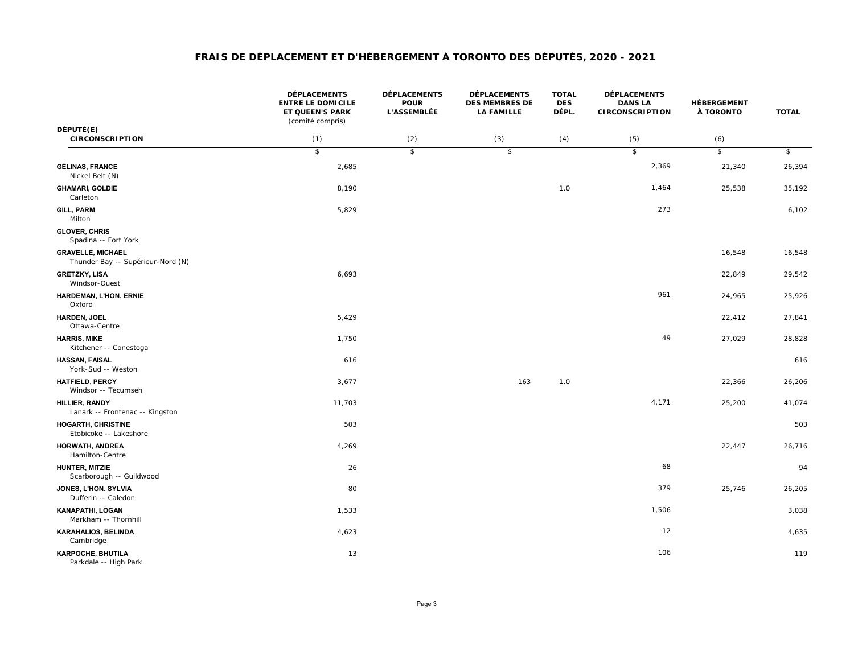|                                                               | <b>DÉPLACEMENTS</b><br><b>ENTRE LE DOMICILE</b><br>ET QUEEN'S PARK<br>(comité compris) | <b>DÉPLACEMENTS</b><br><b>POUR</b><br><b>L'ASSEMBLÉE</b> | <b>DÉPLACEMENTS</b><br><b>DES MEMBRES DE</b><br><b>LA FAMILLE</b> | <b>TOTAL</b><br><b>DES</b><br>DÉPL. | <b>DÉPLACEMENTS</b><br><b>DANS LA</b><br><b>CIRCONSCRIPTION</b> | HÉBERGEMENT<br>À TORONTO | <b>TOTAL</b> |
|---------------------------------------------------------------|----------------------------------------------------------------------------------------|----------------------------------------------------------|-------------------------------------------------------------------|-------------------------------------|-----------------------------------------------------------------|--------------------------|--------------|
| DÉPUTÉ(E)<br><b>CIRCONSCRIPTION</b>                           | (1)                                                                                    | (2)                                                      | (3)                                                               | (4)                                 | (5)                                                             | (6)                      |              |
|                                                               | $\sqrt{2}$                                                                             | $\overline{\mathcal{E}}$                                 | $\sqrt{2}$                                                        |                                     | $\sqrt{2}$                                                      | $\sqrt{2}$               | \$           |
| <b>GÉLINAS, FRANCE</b><br>Nickel Belt (N)                     | 2,685                                                                                  |                                                          |                                                                   |                                     | 2,369                                                           | 21,340                   | 26,394       |
| <b>GHAMARI, GOLDIE</b><br>Carleton                            | 8,190                                                                                  |                                                          |                                                                   | 1.0                                 | 1,464                                                           | 25,538                   | 35,192       |
| <b>GILL, PARM</b><br>Milton                                   | 5,829                                                                                  |                                                          |                                                                   |                                     | 273                                                             |                          | 6,102        |
| <b>GLOVER, CHRIS</b><br>Spadina -- Fort York                  |                                                                                        |                                                          |                                                                   |                                     |                                                                 |                          |              |
| <b>GRAVELLE, MICHAEL</b><br>Thunder Bay -- Supérieur-Nord (N) |                                                                                        |                                                          |                                                                   |                                     |                                                                 | 16,548                   | 16,548       |
| <b>GRETZKY, LISA</b><br>Windsor-Ouest                         | 6,693                                                                                  |                                                          |                                                                   |                                     |                                                                 | 22,849                   | 29,542       |
| HARDEMAN, L'HON. ERNIE<br>Oxford                              |                                                                                        |                                                          |                                                                   |                                     | 961                                                             | 24,965                   | 25,926       |
| HARDEN, JOEL<br>Ottawa-Centre                                 | 5,429                                                                                  |                                                          |                                                                   |                                     |                                                                 | 22,412                   | 27,841       |
| <b>HARRIS, MIKE</b><br>Kitchener -- Conestoga                 | 1,750                                                                                  |                                                          |                                                                   |                                     | 49                                                              | 27,029                   | 28,828       |
| <b>HASSAN, FAISAL</b><br>York-Sud -- Weston                   | 616                                                                                    |                                                          |                                                                   |                                     |                                                                 |                          | 616          |
| <b>HATFIELD, PERCY</b><br>Windsor -- Tecumseh                 | 3,677                                                                                  |                                                          | 163                                                               | 1.0                                 |                                                                 | 22,366                   | 26,206       |
| HILLIER, RANDY<br>Lanark -- Frontenac -- Kingston             | 11,703                                                                                 |                                                          |                                                                   |                                     | 4,171                                                           | 25,200                   | 41,074       |
| <b>HOGARTH, CHRISTINE</b><br>Etobicoke -- Lakeshore           | 503                                                                                    |                                                          |                                                                   |                                     |                                                                 |                          | 503          |
| HORWATH, ANDREA<br>Hamilton-Centre                            | 4,269                                                                                  |                                                          |                                                                   |                                     |                                                                 | 22,447                   | 26,716       |
| HUNTER, MITZIE<br>Scarborough -- Guildwood                    | 26                                                                                     |                                                          |                                                                   |                                     | 68                                                              |                          | 94           |
| JONES, L'HON. SYLVIA<br>Dufferin -- Caledon                   | 80                                                                                     |                                                          |                                                                   |                                     | 379                                                             | 25,746                   | 26,205       |
| <b>KANAPATHI, LOGAN</b><br>Markham -- Thornhill               | 1,533                                                                                  |                                                          |                                                                   |                                     | 1,506                                                           |                          | 3,038        |
| <b>KARAHALIOS, BELINDA</b><br>Cambridge                       | 4,623                                                                                  |                                                          |                                                                   |                                     | 12                                                              |                          | 4,635        |
| KARPOCHE, BHUTILA<br>Parkdale -- High Park                    | 13                                                                                     |                                                          |                                                                   |                                     | 106                                                             |                          | 119          |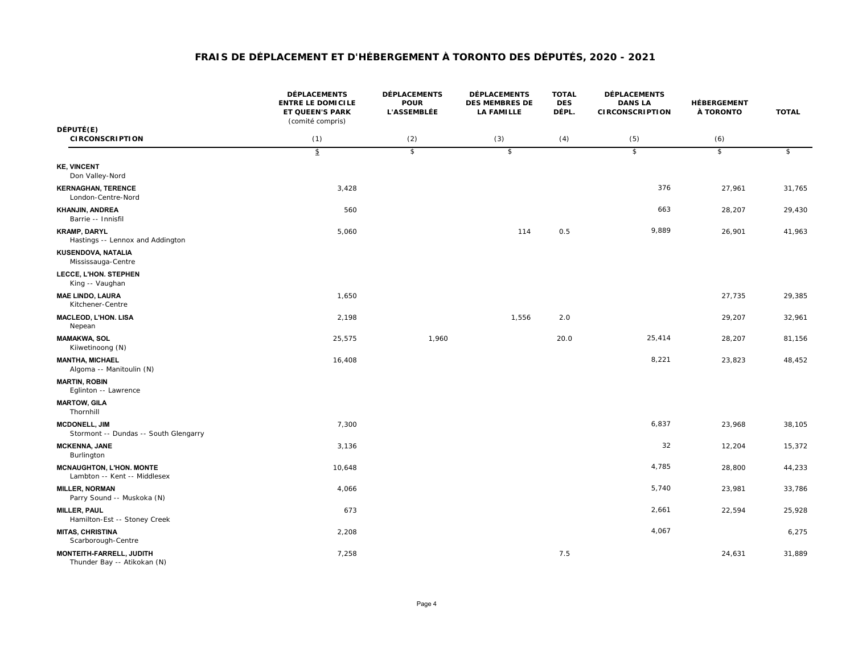|                                                                 | <b>DÉPLACEMENTS</b><br><b>ENTRE LE DOMICILE</b><br><b>ET QUEEN'S PARK</b><br>(comité compris) | <b>DÉPLACEMENTS</b><br><b>POUR</b><br><b>L'ASSEMBLÉE</b> | <b>DÉPLACEMENTS</b><br><b>DES MEMBRES DE</b><br><b>LA FAMILLE</b> | <b>TOTAL</b><br><b>DES</b><br>DÉPL. | <b>DÉPLACEMENTS</b><br><b>DANS LA</b><br><b>CIRCONSCRIPTION</b> | HÉBERGEMENT<br>À TORONTO | <b>TOTAL</b> |
|-----------------------------------------------------------------|-----------------------------------------------------------------------------------------------|----------------------------------------------------------|-------------------------------------------------------------------|-------------------------------------|-----------------------------------------------------------------|--------------------------|--------------|
| DÉPUTÉ(E)<br><b>CIRCONSCRIPTION</b>                             | (1)                                                                                           | (2)                                                      | (3)                                                               | (4)                                 | (5)                                                             | (6)                      |              |
|                                                                 | $\mathfrak{p}$                                                                                | $\overline{\mathcal{E}}$                                 | $\overline{\mathcal{E}}$                                          |                                     | $\overline{s}$                                                  | $\mathsf{s}$             | \$           |
| <b>KE, VINCENT</b><br>Don Valley-Nord                           |                                                                                               |                                                          |                                                                   |                                     |                                                                 |                          |              |
| <b>KERNAGHAN, TERENCE</b><br>London-Centre-Nord                 | 3,428                                                                                         |                                                          |                                                                   |                                     | 376                                                             | 27,961                   | 31,765       |
| KHANJIN, ANDREA<br>Barrie -- Innisfil                           | 560                                                                                           |                                                          |                                                                   |                                     | 663                                                             | 28,207                   | 29,430       |
| <b>KRAMP, DARYL</b><br>Hastings -- Lennox and Addington         | 5,060                                                                                         |                                                          | 114                                                               | 0.5                                 | 9,889                                                           | 26,901                   | 41,963       |
| KUSENDOVA, NATALIA<br>Mississauga-Centre                        |                                                                                               |                                                          |                                                                   |                                     |                                                                 |                          |              |
| LECCE, L'HON. STEPHEN<br>King -- Vaughan                        |                                                                                               |                                                          |                                                                   |                                     |                                                                 |                          |              |
| <b>MAE LINDO, LAURA</b><br>Kitchener-Centre                     | 1,650                                                                                         |                                                          |                                                                   |                                     |                                                                 | 27,735                   | 29,385       |
| MACLEOD, L'HON. LISA<br>Nepean                                  | 2,198                                                                                         |                                                          | 1,556                                                             | 2.0                                 |                                                                 | 29,207                   | 32,961       |
| <b>MAMAKWA, SOL</b><br>Kiiwetinoong (N)                         | 25,575                                                                                        | 1,960                                                    |                                                                   | 20.0                                | 25,414                                                          | 28,207                   | 81,156       |
| <b>MANTHA, MICHAEL</b><br>Algoma -- Manitoulin (N)              | 16,408                                                                                        |                                                          |                                                                   |                                     | 8,221                                                           | 23,823                   | 48,452       |
| <b>MARTIN, ROBIN</b><br>Eglinton -- Lawrence                    |                                                                                               |                                                          |                                                                   |                                     |                                                                 |                          |              |
| <b>MARTOW, GILA</b><br>Thornhill                                |                                                                                               |                                                          |                                                                   |                                     |                                                                 |                          |              |
| <b>MCDONELL, JIM</b><br>Stormont -- Dundas -- South Glengarry   | 7,300                                                                                         |                                                          |                                                                   |                                     | 6,837                                                           | 23,968                   | 38,105       |
| <b>MCKENNA, JANE</b><br>Burlington                              | 3,136                                                                                         |                                                          |                                                                   |                                     | 32                                                              | 12,204                   | 15,372       |
| <b>MCNAUGHTON, L'HON. MONTE</b><br>Lambton -- Kent -- Middlesex | 10,648                                                                                        |                                                          |                                                                   |                                     | 4,785                                                           | 28,800                   | 44,233       |
| <b>MILLER, NORMAN</b><br>Parry Sound -- Muskoka (N)             | 4,066                                                                                         |                                                          |                                                                   |                                     | 5,740                                                           | 23,981                   | 33,786       |
| <b>MILLER, PAUL</b><br>Hamilton-Est -- Stoney Creek             | 673                                                                                           |                                                          |                                                                   |                                     | 2,661                                                           | 22,594                   | 25,928       |
| <b>MITAS, CHRISTINA</b><br>Scarborough-Centre                   | 2,208                                                                                         |                                                          |                                                                   |                                     | 4,067                                                           |                          | 6,275        |
| MONTEITH-FARRELL, JUDITH<br>Thunder Bay -- Atikokan (N)         | 7,258                                                                                         |                                                          |                                                                   | 7.5                                 |                                                                 | 24,631                   | 31,889       |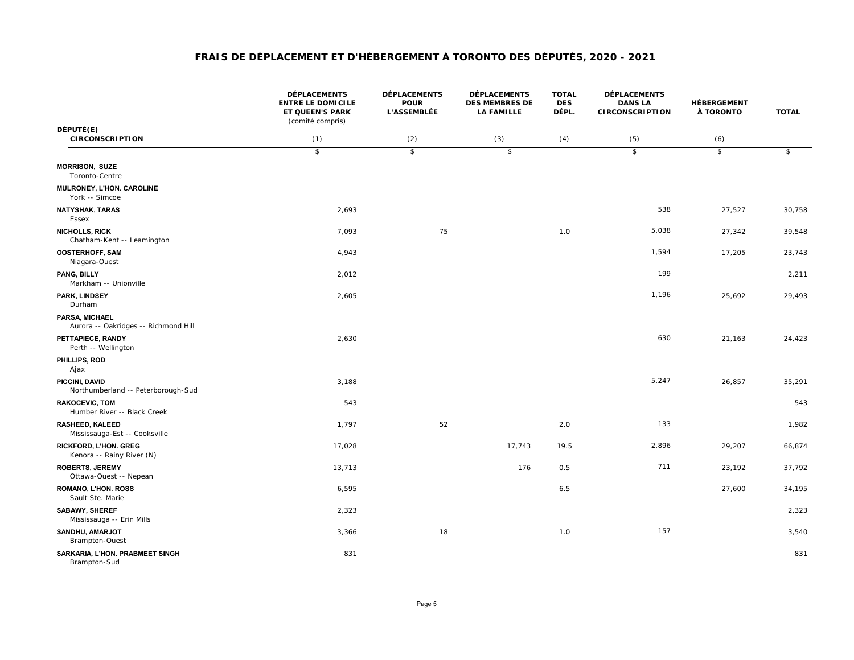|                                                           | <b>DÉPLACEMENTS</b><br><b>ENTRE LE DOMICILE</b><br>ET QUEEN'S PARK<br>(comité compris) | <b>DÉPLACEMENTS</b><br><b>POUR</b><br><b>L'ASSEMBLÉE</b> | <b>DÉPLACEMENTS</b><br><b>DES MEMBRES DE</b><br><b>LA FAMILLE</b> | <b>TOTAL</b><br><b>DES</b><br>DÉPL. | <b>DÉPLACEMENTS</b><br><b>DANS LA</b><br><b>CIRCONSCRIPTION</b> | HÉBERGEMENT<br>À TORONTO | <b>TOTAL</b>              |
|-----------------------------------------------------------|----------------------------------------------------------------------------------------|----------------------------------------------------------|-------------------------------------------------------------------|-------------------------------------|-----------------------------------------------------------------|--------------------------|---------------------------|
| DÉPUTÉ(E)<br><b>CIRCONSCRIPTION</b>                       | (1)                                                                                    | (2)                                                      | (3)                                                               | (4)                                 | (5)                                                             | (6)                      |                           |
|                                                           | $\hat{\mathcal{F}}$                                                                    | $\overline{\mathcal{E}}$                                 | $\overline{\mathcal{E}}$                                          |                                     | $\sqrt{2}$                                                      | $\overline{\mathcal{E}}$ | $\boldsymbol{\hat{\tau}}$ |
| <b>MORRISON, SUZE</b><br>Toronto-Centre                   |                                                                                        |                                                          |                                                                   |                                     |                                                                 |                          |                           |
| MULRONEY, L'HON. CAROLINE<br>York -- Simcoe               |                                                                                        |                                                          |                                                                   |                                     |                                                                 |                          |                           |
| <b>NATYSHAK, TARAS</b><br>Essex                           | 2,693                                                                                  |                                                          |                                                                   |                                     | 538                                                             | 27,527                   | 30,758                    |
| NICHOLLS, RICK<br>Chatham-Kent -- Leamington              | 7,093                                                                                  | 75                                                       |                                                                   | 1.0                                 | 5,038                                                           | 27,342                   | 39,548                    |
| <b>OOSTERHOFF, SAM</b><br>Niagara-Ouest                   | 4,943                                                                                  |                                                          |                                                                   |                                     | 1,594                                                           | 17,205                   | 23,743                    |
| PANG, BILLY<br>Markham -- Unionville                      | 2,012                                                                                  |                                                          |                                                                   |                                     | 199                                                             |                          | 2,211                     |
| PARK, LINDSEY<br>Durham                                   | 2,605                                                                                  |                                                          |                                                                   |                                     | 1,196                                                           | 25,692                   | 29,493                    |
| PARSA, MICHAEL<br>Aurora -- Oakridges -- Richmond Hill    |                                                                                        |                                                          |                                                                   |                                     |                                                                 |                          |                           |
| PETTAPIECE, RANDY<br>Perth -- Wellington                  | 2,630                                                                                  |                                                          |                                                                   |                                     | 630                                                             | 21,163                   | 24,423                    |
| PHILLIPS, ROD<br>Ajax                                     |                                                                                        |                                                          |                                                                   |                                     |                                                                 |                          |                           |
| PICCINI, DAVID<br>Northumberland -- Peterborough-Sud      | 3,188                                                                                  |                                                          |                                                                   |                                     | 5,247                                                           | 26,857                   | 35,291                    |
| <b>RAKOCEVIC, TOM</b><br>Humber River -- Black Creek      | 543                                                                                    |                                                          |                                                                   |                                     |                                                                 |                          | 543                       |
| <b>RASHEED, KALEED</b><br>Mississauga-Est -- Cooksville   | 1,797                                                                                  | 52                                                       |                                                                   | 2.0                                 | 133                                                             |                          | 1,982                     |
| <b>RICKFORD, L'HON. GREG</b><br>Kenora -- Rainy River (N) | 17,028                                                                                 |                                                          | 17,743                                                            | 19.5                                | 2,896                                                           | 29,207                   | 66,874                    |
| <b>ROBERTS, JEREMY</b><br>Ottawa-Ouest -- Nepean          | 13,713                                                                                 |                                                          | 176                                                               | 0.5                                 | 711                                                             | 23,192                   | 37,792                    |
| <b>ROMANO, L'HON. ROSS</b><br>Sault Ste. Marie            | 6,595                                                                                  |                                                          |                                                                   | 6.5                                 |                                                                 | 27,600                   | 34,195                    |
| SABAWY, SHEREF<br>Mississauga -- Erin Mills               | 2,323                                                                                  |                                                          |                                                                   |                                     |                                                                 |                          | 2,323                     |
| SANDHU, AMARJOT<br>Brampton-Ouest                         | 3,366                                                                                  | 18                                                       |                                                                   | 1.0                                 | 157                                                             |                          | 3,540                     |
| SARKARIA, L'HON. PRABMEET SINGH<br>Brampton-Sud           | 831                                                                                    |                                                          |                                                                   |                                     |                                                                 |                          | 831                       |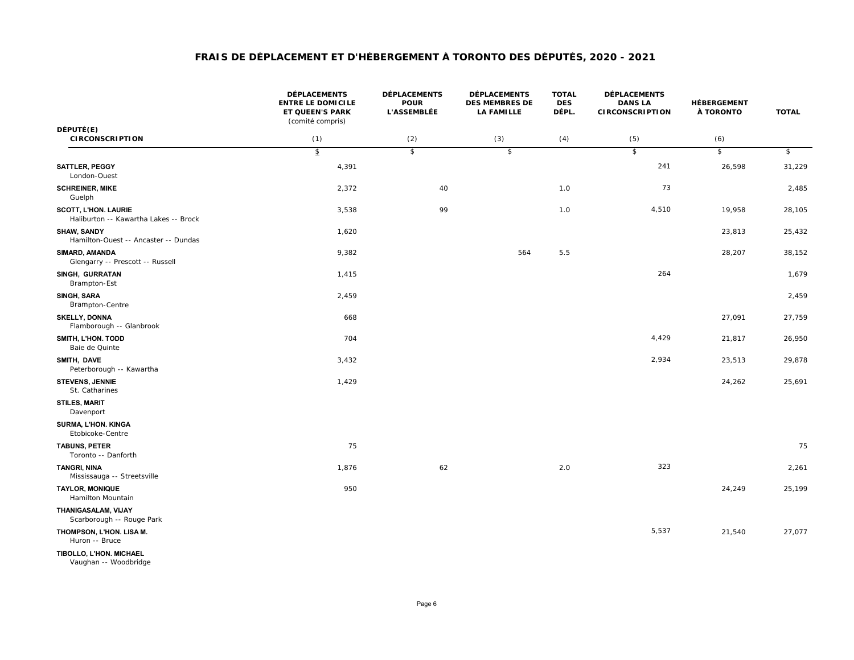|                                                                      | <b>DÉPLACEMENTS</b><br><b>ENTRE LE DOMICILE</b><br>ET QUEEN'S PARK<br>(comité compris) | <b>DÉPLACEMENTS</b><br><b>POUR</b><br><b>L'ASSEMBLÉE</b> | <b>DÉPLACEMENTS</b><br><b>DES MEMBRES DE</b><br><b>LA FAMILLE</b> | <b>TOTAL</b><br><b>DES</b><br>DÉPL. | <b>DÉPLACEMENTS</b><br><b>DANS LA</b><br><b>CIRCONSCRIPTION</b> | <b>HÉBERGEMENT</b><br>À TORONTO | <b>TOTAL</b> |
|----------------------------------------------------------------------|----------------------------------------------------------------------------------------|----------------------------------------------------------|-------------------------------------------------------------------|-------------------------------------|-----------------------------------------------------------------|---------------------------------|--------------|
| DÉPUTÉ(E)<br><b>CIRCONSCRIPTION</b>                                  | (1)                                                                                    | (2)                                                      | (3)                                                               | (4)                                 | (5)                                                             | (6)                             |              |
|                                                                      | $\mathfrak{F}$                                                                         | $\overline{\mathcal{E}}$                                 | $\sqrt[6]{\frac{2}{5}}$                                           |                                     | $\sqrt{2}$                                                      | $\sqrt{2}$                      | \$           |
| SATTLER, PEGGY<br>London-Ouest                                       | 4,391                                                                                  |                                                          |                                                                   |                                     | 241                                                             | 26,598                          | 31,229       |
| <b>SCHREINER, MIKE</b><br>Guelph                                     | 2,372                                                                                  | 40                                                       |                                                                   | 1.0                                 | 73                                                              |                                 | 2,485        |
| <b>SCOTT, L'HON. LAURIE</b><br>Haliburton -- Kawartha Lakes -- Brock | 3,538                                                                                  | 99                                                       |                                                                   | 1.0                                 | 4,510                                                           | 19,958                          | 28,105       |
| <b>SHAW, SANDY</b><br>Hamilton-Ouest -- Ancaster -- Dundas           | 1,620                                                                                  |                                                          |                                                                   |                                     |                                                                 | 23,813                          | 25,432       |
| SIMARD, AMANDA<br>Glengarry -- Prescott -- Russell                   | 9,382                                                                                  |                                                          | 564                                                               | 5.5                                 |                                                                 | 28,207                          | 38,152       |
| SINGH, GURRATAN<br>Brampton-Est                                      | 1,415                                                                                  |                                                          |                                                                   |                                     | 264                                                             |                                 | 1,679        |
| SINGH, SARA<br>Brampton-Centre                                       | 2,459                                                                                  |                                                          |                                                                   |                                     |                                                                 |                                 | 2,459        |
| <b>SKELLY, DONNA</b><br>Flamborough -- Glanbrook                     | 668                                                                                    |                                                          |                                                                   |                                     |                                                                 | 27,091                          | 27,759       |
| SMITH, L'HON. TODD<br>Baie de Quinte                                 | 704                                                                                    |                                                          |                                                                   |                                     | 4,429                                                           | 21,817                          | 26,950       |
| SMITH, DAVE<br>Peterborough -- Kawartha                              | 3,432                                                                                  |                                                          |                                                                   |                                     | 2,934                                                           | 23,513                          | 29,878       |
| <b>STEVENS, JENNIE</b><br>St. Catharines                             | 1,429                                                                                  |                                                          |                                                                   |                                     |                                                                 | 24,262                          | 25,691       |
| <b>STILES, MARIT</b><br>Davenport                                    |                                                                                        |                                                          |                                                                   |                                     |                                                                 |                                 |              |
| SURMA, L'HON. KINGA<br>Etobicoke-Centre                              |                                                                                        |                                                          |                                                                   |                                     |                                                                 |                                 |              |
| <b>TABUNS, PETER</b><br>Toronto -- Danforth                          | 75                                                                                     |                                                          |                                                                   |                                     |                                                                 |                                 | 75           |
| <b>TANGRI, NINA</b><br>Mississauga -- Streetsville                   | 1,876                                                                                  | 62                                                       |                                                                   | 2.0                                 | 323                                                             |                                 | 2,261        |
| <b>TAYLOR, MONIQUE</b><br>Hamilton Mountain                          | 950                                                                                    |                                                          |                                                                   |                                     |                                                                 | 24,249                          | 25,199       |
| THANIGASALAM, VIJAY<br>Scarborough -- Rouge Park                     |                                                                                        |                                                          |                                                                   |                                     |                                                                 |                                 |              |
| THOMPSON, L'HON. LISA M.<br>Huron -- Bruce                           |                                                                                        |                                                          |                                                                   |                                     | 5,537                                                           | 21,540                          | 27,077       |
| TIBOLLO, L'HON. MICHAEL                                              |                                                                                        |                                                          |                                                                   |                                     |                                                                 |                                 |              |

*Vaughan -- Woodbridge*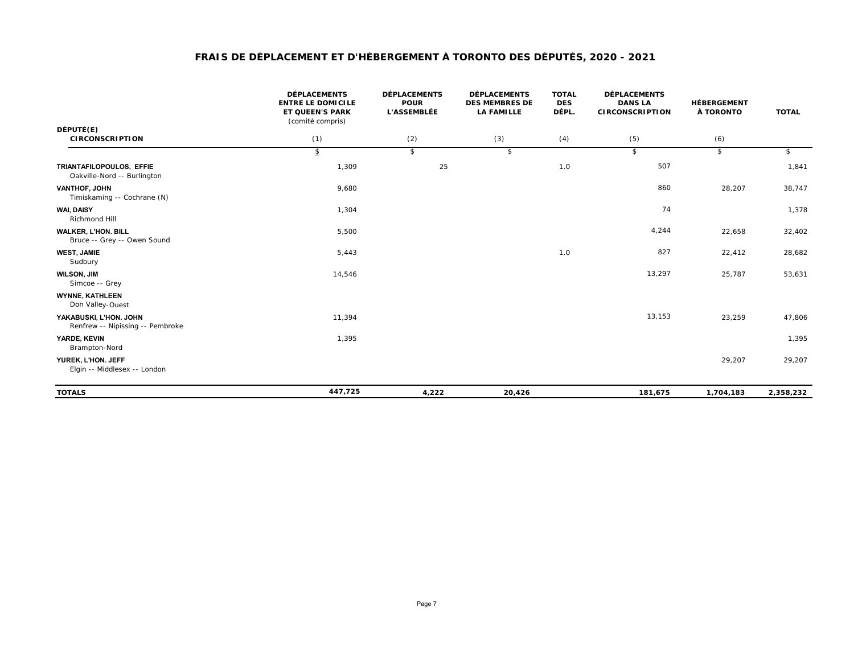|                                                            | <b>DÉPLACEMENTS</b><br><b>ENTRE LE DOMICILE</b><br><b>ET QUEEN'S PARK</b><br>(comité compris) | <b>DÉPLACEMENTS</b><br><b>POUR</b><br><b>L'ASSEMBLÉE</b> | <b>DÉPLACEMENTS</b><br><b>DES MEMBRES DE</b><br><b>LA FAMILLE</b> | <b>TOTAL</b><br><b>DES</b><br>DÉPL. | <b>DÉPLACEMENTS</b><br><b>DANS LA</b><br><b>CIRCONSCRIPTION</b> | <b>HÉBERGEMENT</b><br>À TORONTO | <b>TOTAL</b> |
|------------------------------------------------------------|-----------------------------------------------------------------------------------------------|----------------------------------------------------------|-------------------------------------------------------------------|-------------------------------------|-----------------------------------------------------------------|---------------------------------|--------------|
| DÉPUTÉ(E)<br><b>CIRCONSCRIPTION</b>                        | (1)                                                                                           | (2)                                                      | (3)                                                               | (4)                                 | (5)                                                             | (6)                             |              |
|                                                            | \$                                                                                            | \$                                                       | \$                                                                |                                     | \$                                                              | \$                              | \$           |
| TRIANTAFILOPOULOS, EFFIE<br>Oakville-Nord -- Burlington    | 1,309                                                                                         | 25                                                       |                                                                   | 1.0                                 | 507                                                             |                                 | 1,841        |
| VANTHOF, JOHN<br>Timiskaming -- Cochrane (N)               | 9,680                                                                                         |                                                          |                                                                   |                                     | 860                                                             | 28,207                          | 38,747       |
| WAI, DAISY<br>Richmond Hill                                | 1,304                                                                                         |                                                          |                                                                   |                                     | 74                                                              |                                 | 1,378        |
| <b>WALKER, L'HON. BILL</b><br>Bruce -- Grey -- Owen Sound  | 5,500                                                                                         |                                                          |                                                                   |                                     | 4,244                                                           | 22,658                          | 32,402       |
| <b>WEST, JAMIE</b><br>Sudbury                              | 5,443                                                                                         |                                                          |                                                                   | 1.0                                 | 827                                                             | 22,412                          | 28,682       |
| <b>WILSON, JIM</b><br>Simcoe -- Grey                       | 14,546                                                                                        |                                                          |                                                                   |                                     | 13,297                                                          | 25,787                          | 53,631       |
| <b>WYNNE, KATHLEEN</b><br>Don Valley-Ouest                 |                                                                                               |                                                          |                                                                   |                                     |                                                                 |                                 |              |
| YAKABUSKI, L'HON. JOHN<br>Renfrew -- Nipissing -- Pembroke | 11,394                                                                                        |                                                          |                                                                   |                                     | 13,153                                                          | 23,259                          | 47,806       |
| <b>YARDE, KEVIN</b><br>Brampton-Nord                       | 1,395                                                                                         |                                                          |                                                                   |                                     |                                                                 |                                 | 1,395        |
| YUREK, L'HON. JEFF<br>Elgin -- Middlesex -- London         |                                                                                               |                                                          |                                                                   |                                     |                                                                 | 29,207                          | 29,207       |
| <b>TOTALS</b>                                              | 447,725                                                                                       | 4,222                                                    | 20,426                                                            |                                     | 181,675                                                         | 1,704,183                       | 2,358,232    |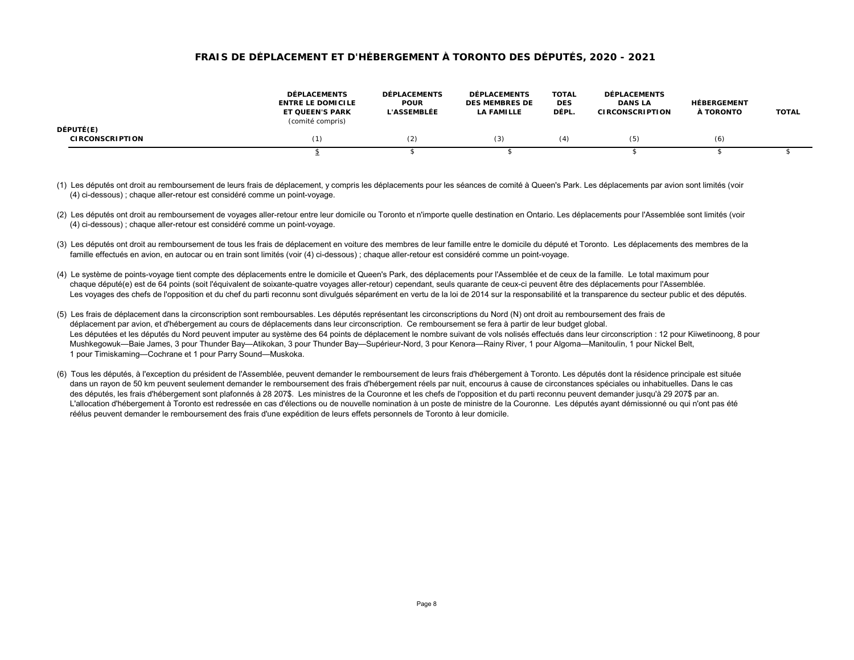|                                     | <b>DÉPLACEMENTS</b><br><b>ENTRE LE DOMICILE</b><br><b>ET QUEEN'S PARK</b><br>(comité compris) | <b>DÉPLACEMENTS</b><br><b>POUR</b><br><b>L'ASSEMBLÉE</b> | <b>DÉPLACEMENTS</b><br><b>DES MEMBRES DE</b><br><b>LA FAMILLE</b> | <b>TOTAL</b><br><b>DES</b><br>DÉPL. | <b>DÉPLACEMENTS</b><br><b>DANS LA</b><br><b>CIRCONSCRIPTION</b> | <b>HÉBERGEMENT</b><br>À TORONTO | <b>TOTAL</b> |
|-------------------------------------|-----------------------------------------------------------------------------------------------|----------------------------------------------------------|-------------------------------------------------------------------|-------------------------------------|-----------------------------------------------------------------|---------------------------------|--------------|
| DÉPUTÉ(E)<br><b>CIRCONSCRIPTION</b> |                                                                                               | (2)                                                      | (3)                                                               | (4)                                 | (5)                                                             | (6)                             |              |
|                                     |                                                                                               |                                                          |                                                                   |                                     |                                                                 |                                 |              |

- (1) Les députés ont droit au remboursement de leurs frais de déplacement, y compris les déplacements pour les séances de comité à Queen's Park. Les déplacements par avion sont limités (voir (4) ci-dessous) ; chaque aller-retour est considéré comme un point-voyage.
- (2) Les députés ont droit au remboursement de voyages aller-retour entre leur domicile ou Toronto et n'importe quelle destination en Ontario. Les déplacements pour l'Assemblée sont limités (voir (4) ci-dessous) ; chaque aller-retour est considéré comme un point-voyage.
- (3) Les députés ont droit au remboursement de tous les frais de déplacement en voiture des membres de leur famille entre le domicile du député et Toronto. Les déplacements des membres de la famille effectués en avion, en autocar ou en train sont limités (voir (4) ci-dessous) ; chaque aller-retour est considéré comme un point-voyage.
- (4) Le système de points-voyage tient compte des déplacements entre le domicile et Queen's Park, des déplacements pour l'Assemblée et de ceux de la famille. Le total maximum pour chaque député(e) est de 64 points (soit l'équivalent de soixante-quatre voyages aller-retour) cependant, seuls quarante de ceux-ci peuvent être des déplacements pour l'Assemblée. Les voyages des chefs de l'opposition et du chef du parti reconnu sont divulgués séparément en vertu de la loi de 2014 sur la responsabilité et la transparence du secteur public et des députés.
- (5) Les frais de déplacement dans la circonscription sont remboursables. Les députés représentant les circonscriptions du Nord (N) ont droit au remboursement des frais de déplacement par avion, et d'hébergement au cours de déplacements dans leur circonscription. Ce remboursement se fera à partir de leur budget global. Les députées et les députés du Nord peuvent imputer au système des 64 points de déplacement le nombre suivant de vols nolisés effectués dans leur circonscription : 12 pour Kiiwetinoong, 8 pour Mushkegowuk—Baie James, 3 pour Thunder Bay—Atikokan, 3 pour Thunder Bay—Supérieur-Nord, 3 pour Kenora—Rainy River, 1 pour Algoma—Manitoulin, 1 pour Nickel Belt, 1 pour Timiskaming—Cochrane et 1 pour Parry Sound—Muskoka.
- (6) Tous les députés, à l'exception du président de l'Assemblée, peuvent demander le remboursement de leurs frais d'hébergement à Toronto. Les députés dont la résidence principale est située dans un rayon de 50 km peuvent seulement demander le remboursement des frais d'hébergement réels par nuit, encourus à cause de circonstances spéciales ou inhabituelles. Dans le cas des députés, les frais d'hébergement sont plafonnés à 28 207\$. Les ministres de la Couronne et les chefs de l'opposition et du parti reconnu peuvent demander jusqu'à 29 207\$ par an. L'allocation d'hébergement à Toronto est redressée en cas d'élections ou de nouvelle nomination à un poste de ministre de la Couronne. Les députés ayant démissionné ou qui n'ont pas été réélus peuvent demander le remboursement des frais d'une expédition de leurs effets personnels de Toronto à leur domicile.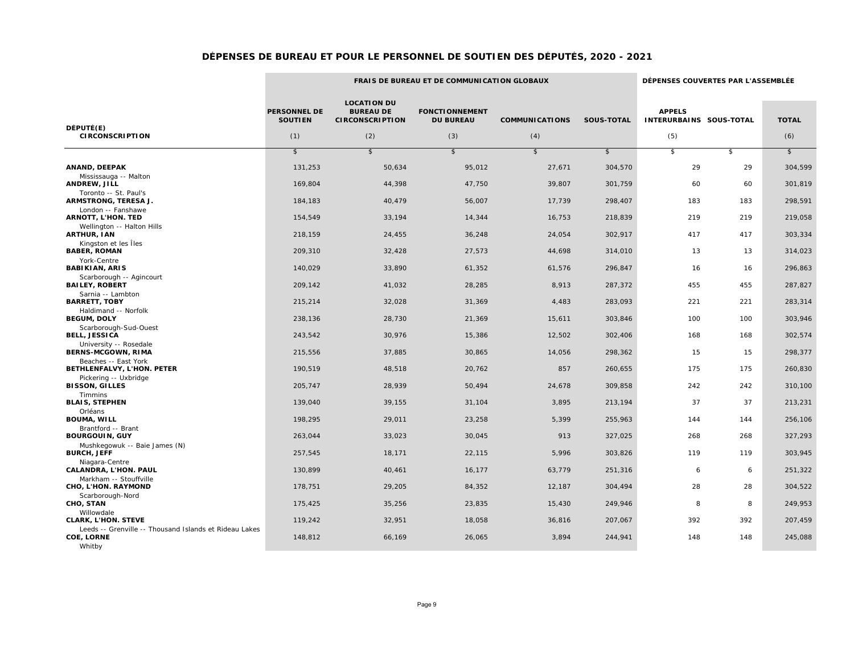the control of the control of the control of

 $\sim$ 

|                                                                                       |                                              |                                                                         | <b>FRAIS DE BUREAU ET DE COMMUNICATION GLOBAUX</b> |                              |                   | DÉPENSES COUVERTES PAR L'ASSEMBLÉE              |     |                     |  |
|---------------------------------------------------------------------------------------|----------------------------------------------|-------------------------------------------------------------------------|----------------------------------------------------|------------------------------|-------------------|-------------------------------------------------|-----|---------------------|--|
| DÉPUTÉ(E)<br><b>CIRCONSCRIPTION</b>                                                   | <b>PERSONNEL DE</b><br><b>SOUTIEN</b><br>(1) | <b>LOCATION DU</b><br><b>BUREAU DE</b><br><b>CIRCONSCRIPTION</b><br>(2) | <b>FONCTIONNEMENT</b><br><b>DU BUREAU</b><br>(3)   | <b>COMMUNICATIONS</b><br>(4) | <b>SOUS-TOTAL</b> | <b>APPELS</b><br>INTERURBAINS SOUS-TOTAL<br>(5) |     | <b>TOTAL</b><br>(6) |  |
|                                                                                       |                                              |                                                                         |                                                    |                              |                   |                                                 |     |                     |  |
|                                                                                       | $\mathbb{S}$                                 | $\sqrt{2}$                                                              | $\sqrt{2}$                                         | $\sqrt[6]{\frac{1}{2}}$      | $\sqrt{2}$        | $\sqrt{2}$                                      | \$  | $\sqrt{2}$          |  |
| ANAND, DEEPAK                                                                         | 131,253                                      | 50,634                                                                  | 95,012                                             | 27,671                       | 304,570           | 29                                              | 29  | 304,599             |  |
| Mississauga -- Malton<br>ANDREW, JILL                                                 | 169,804                                      | 44,398                                                                  | 47,750                                             | 39,807                       | 301,759           | 60                                              | 60  | 301,819             |  |
| Toronto -- St. Paul's<br>ARMSTRONG, TERESA J.                                         | 184,183                                      | 40,479                                                                  | 56,007                                             | 17,739                       | 298,407           | 183                                             | 183 | 298,591             |  |
| London -- Fanshawe<br><b>ARNOTT, L'HON. TED</b>                                       | 154,549                                      | 33,194                                                                  | 14,344                                             | 16,753                       | 218,839           | 219                                             | 219 | 219,058             |  |
| Wellington -- Halton Hills                                                            |                                              |                                                                         |                                                    |                              |                   |                                                 |     |                     |  |
| <b>ARTHUR, IAN</b><br>Kingston et les Îles                                            | 218,159                                      | 24,455                                                                  | 36,248                                             | 24,054                       | 302,917           | 417                                             | 417 | 303,334             |  |
| <b>BABER, ROMAN</b>                                                                   | 209,310                                      | 32,428                                                                  | 27,573                                             | 44,698                       | 314,010           | 13                                              | 13  | 314,023             |  |
| York-Centre<br><b>BABIKIAN, ARIS</b>                                                  | 140,029                                      | 33,890                                                                  | 61,352                                             | 61,576                       | 296,847           | 16                                              | 16  | 296,863             |  |
| Scarborough -- Agincourt<br><b>BAILEY, ROBERT</b>                                     | 209,142                                      | 41,032                                                                  | 28,285                                             | 8,913                        | 287,372           | 455                                             | 455 | 287,827             |  |
| Sarnia -- Lambton<br><b>BARRETT, TOBY</b>                                             | 215,214                                      | 32,028                                                                  | 31,369                                             | 4,483                        | 283,093           | 221                                             | 221 | 283,314             |  |
| Haldimand -- Norfolk<br><b>BEGUM, DOLY</b>                                            | 238,136                                      | 28,730                                                                  | 21,369                                             | 15,611                       | 303,846           | 100                                             | 100 | 303,946             |  |
| Scarborough-Sud-Ouest<br><b>BELL, JESSICA</b>                                         | 243,542                                      | 30,976                                                                  | 15,386                                             | 12,502                       | 302,406           | 168                                             | 168 | 302,574             |  |
| University -- Rosedale                                                                |                                              |                                                                         |                                                    |                              |                   |                                                 |     |                     |  |
| <b>BERNS-MCGOWN, RIMA</b><br>Beaches -- East York                                     | 215,556                                      | 37,885                                                                  | 30,865                                             | 14,056                       | 298,362           | 15                                              | 15  | 298,377             |  |
| BETHLENFALVY, L'HON. PETER                                                            | 190,519                                      | 48,518                                                                  | 20,762                                             | 857                          | 260,655           | 175                                             | 175 | 260,830             |  |
| Pickering -- Uxbridge<br><b>BISSON, GILLES</b>                                        | 205,747                                      | 28,939                                                                  | 50,494                                             | 24,678                       | 309,858           | 242                                             | 242 | 310,100             |  |
| Timmins<br><b>BLAIS, STEPHEN</b>                                                      | 139,040                                      | 39,155                                                                  | 31,104                                             | 3,895                        | 213,194           | 37                                              | 37  | 213,231             |  |
| Orléans<br><b>BOUMA, WILL</b>                                                         | 198,295                                      | 29,011                                                                  | 23,258                                             | 5,399                        | 255,963           | 144                                             | 144 | 256,106             |  |
| Brantford -- Brant                                                                    |                                              |                                                                         |                                                    |                              |                   |                                                 |     |                     |  |
| <b>BOURGOUIN, GUY</b><br>Mushkegowuk -- Baie James (N)                                | 263,044                                      | 33,023                                                                  | 30,045                                             | 913                          | 327,025           | 268                                             | 268 | 327,293             |  |
| <b>BURCH, JEFF</b>                                                                    | 257,545                                      | 18,171                                                                  | 22,115                                             | 5,996                        | 303,826           | 119                                             | 119 | 303,945             |  |
| Niagara-Centre<br>CALANDRA, L'HON. PAUL                                               | 130,899                                      | 40,461                                                                  | 16,177                                             | 63,779                       | 251,316           | 6                                               | 6   | 251,322             |  |
| Markham -- Stouffville<br>CHO, L'HON. RAYMOND                                         | 178,751                                      | 29,205                                                                  | 84,352                                             | 12,187                       | 304,494           | 28                                              | 28  | 304,522             |  |
| Scarborough-Nord<br>CHO, STAN                                                         | 175,425                                      | 35,256                                                                  | 23,835                                             | 15,430                       | 249,946           | 8                                               | 8   | 249,953             |  |
| Willowdale<br><b>CLARK, L'HON. STEVE</b>                                              | 119,242                                      | 32,951                                                                  | 18,058                                             | 36,816                       | 207,067           | 392                                             | 392 | 207,459             |  |
| Leeds -- Grenville -- Thousand Islands et Rideau Lakes<br><b>COE, LORNE</b><br>Whitby | 148,812                                      | 66,169                                                                  | 26,065                                             | 3,894                        | 244,941           | 148                                             | 148 | 245,088             |  |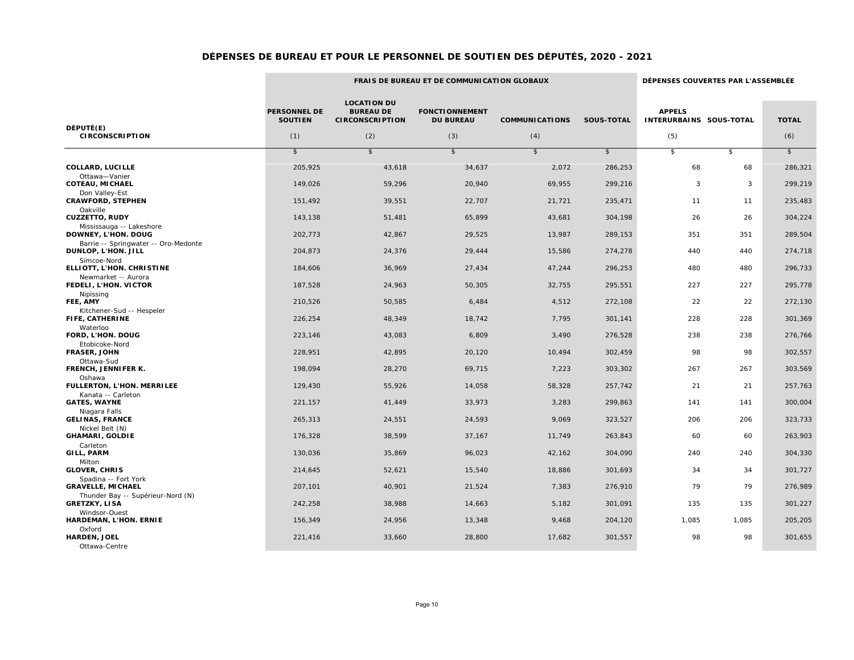۰

 $\sim$ 

the control of the control of the control of the control of the control of the control of

|                                                             |                                              |                                                                         | <b>FRAIS DE BUREAU ET DE COMMUNICATION GLOBAUX</b> |                              |                   | DÉPENSES COUVERTES PAR L'ASSEMBLÉE              |       |                     |  |
|-------------------------------------------------------------|----------------------------------------------|-------------------------------------------------------------------------|----------------------------------------------------|------------------------------|-------------------|-------------------------------------------------|-------|---------------------|--|
| DÉPUTÉ(E)<br><b>CIRCONSCRIPTION</b>                         | <b>PERSONNEL DE</b><br><b>SOUTIEN</b><br>(1) | <b>LOCATION DU</b><br><b>BUREAU DE</b><br><b>CIRCONSCRIPTION</b><br>(2) | <b>FONCTIONNEMENT</b><br><b>DU BUREAU</b><br>(3)   | <b>COMMUNICATIONS</b><br>(4) | <b>SOUS-TOTAL</b> | <b>APPELS</b><br>INTERURBAINS SOUS-TOTAL<br>(5) |       | <b>TOTAL</b><br>(6) |  |
|                                                             |                                              |                                                                         |                                                    |                              |                   |                                                 |       |                     |  |
|                                                             | $\sqrt[6]{\frac{1}{2}}$                      | $\sqrt{2}$                                                              | $\sqrt{2}$                                         | $\sqrt[6]{\frac{1}{2}}$      | $\sqrt{2}$        | $\sqrt{2}$                                      | \$    | $\sqrt{2}$          |  |
| <b>COLLARD, LUCILLE</b><br>Ottawa-Vanier                    | 205,925                                      | 43,618                                                                  | 34,637                                             | 2,072                        | 286,253           | 68                                              | 68    | 286,321             |  |
| <b>COTEAU, MICHAEL</b><br>Don Valley-Est                    | 149,026                                      | 59,296                                                                  | 20,940                                             | 69,955                       | 299,216           | 3                                               | 3     | 299,219             |  |
| <b>CRAWFORD, STEPHEN</b>                                    | 151.492                                      | 39,551                                                                  | 22,707                                             | 21,721                       | 235,471           | 11                                              | 11    | 235,483             |  |
| Oakville<br><b>CUZZETTO, RUDY</b>                           | 143,138                                      | 51,481                                                                  | 65,899                                             | 43,681                       | 304,198           | 26                                              | 26    | 304,224             |  |
| Mississauga -- Lakeshore<br>DOWNEY, L'HON. DOUG             | 202,773                                      | 42,867                                                                  | 29,525                                             | 13,987                       | 289,153           | 351                                             | 351   | 289,504             |  |
| Barrie -- Springwater -- Oro-Medonte<br>DUNLOP, L'HON. JILL | 204,873                                      | 24,376                                                                  | 29,444                                             | 15,586                       | 274,278           | 440                                             | 440   | 274,718             |  |
| Simcoe-Nord<br>ELLIOTT, L'HON. CHRISTINE                    | 184,606                                      | 36,969                                                                  | 27,434                                             | 47,244                       | 296,253           | 480                                             | 480   | 296,733             |  |
| Newmarket -- Aurora<br>FEDELI, L'HON. VICTOR                | 187,528                                      | 24,963                                                                  | 50,305                                             | 32,755                       | 295,551           | 227                                             | 227   | 295,778             |  |
| Nipissing<br>FEE, AMY                                       | 210,526                                      | 50,585                                                                  | 6,484                                              | 4,512                        | 272,108           | 22                                              | 22    | 272,130             |  |
| Kitchener-Sud -- Hespeler<br>FIFE, CATHERINE                | 226,254                                      | 48,349                                                                  | 18,742                                             | 7,795                        | 301,141           | 228                                             | 228   | 301,369             |  |
| Waterloo<br>FORD, L'HON. DOUG                               | 223,146                                      | 43,083                                                                  | 6,809                                              | 3,490                        | 276,528           | 238                                             | 238   | 276,766             |  |
| Etobicoke-Nord<br><b>FRASER, JOHN</b>                       | 228,951                                      | 42,895                                                                  | 20,120                                             | 10,494                       | 302,459           | 98                                              | 98    | 302,557             |  |
| Ottawa-Sud<br>FRENCH, JENNIFER K.                           | 198,094                                      | 28,270                                                                  | 69,715                                             | 7,223                        | 303,302           | 267                                             | 267   | 303,569             |  |
| Oshawa<br>FULLERTON, L'HON. MERRILEE                        | 129,430                                      | 55,926                                                                  | 14,058                                             | 58,328                       | 257,742           | 21                                              | 21    | 257,763             |  |
| Kanata -- Carleton<br><b>GATES, WAYNE</b>                   | 221,157                                      | 41,449                                                                  | 33,973                                             | 3,283                        | 299,863           | 141                                             | 141   | 300,004             |  |
| Niagara Falls<br><b>GÉLINAS, FRANCE</b>                     | 265,313                                      | 24,551                                                                  | 24,593                                             | 9,069                        | 323,527           | 206                                             | 206   | 323,733             |  |
| Nickel Belt (N)<br><b>GHAMARI, GOLDIE</b>                   | 176,328                                      | 38,599                                                                  | 37,167                                             | 11,749                       | 263,843           | 60                                              | 60    | 263,903             |  |
| Carleton<br>GILL, PARM                                      | 130.036                                      | 35,869                                                                  | 96,023                                             | 42,162                       | 304,090           | 240                                             | 240   | 304,330             |  |
| Milton<br><b>GLOVER, CHRIS</b>                              | 214,645                                      | 52,621                                                                  | 15,540                                             | 18,886                       | 301,693           | 34                                              | 34    | 301,727             |  |
| Spadina -- Fort York<br><b>GRAVELLE, MICHAEL</b>            | 207,101                                      | 40,901                                                                  | 21,524                                             | 7,383                        | 276,910           | 79                                              | 79    | 276,989             |  |
| Thunder Bay -- Supérieur-Nord (N)<br><b>GRETZKY, LISA</b>   | 242,258                                      | 38,988                                                                  | 14,663                                             | 5,182                        | 301,091           | 135                                             | 135   | 301,227             |  |
| Windsor-Ouest<br>HARDEMAN, L'HON. ERNIE                     | 156,349                                      | 24,956                                                                  | 13,348                                             | 9,468                        | 204,120           | 1,085                                           | 1,085 | 205,205             |  |
| Oxford<br><b>HARDEN, JOEL</b><br>Ottawa-Centre              | 221,416                                      | 33,660                                                                  | 28,800                                             | 17,682                       | 301,557           | 98                                              | 98    | 301,655             |  |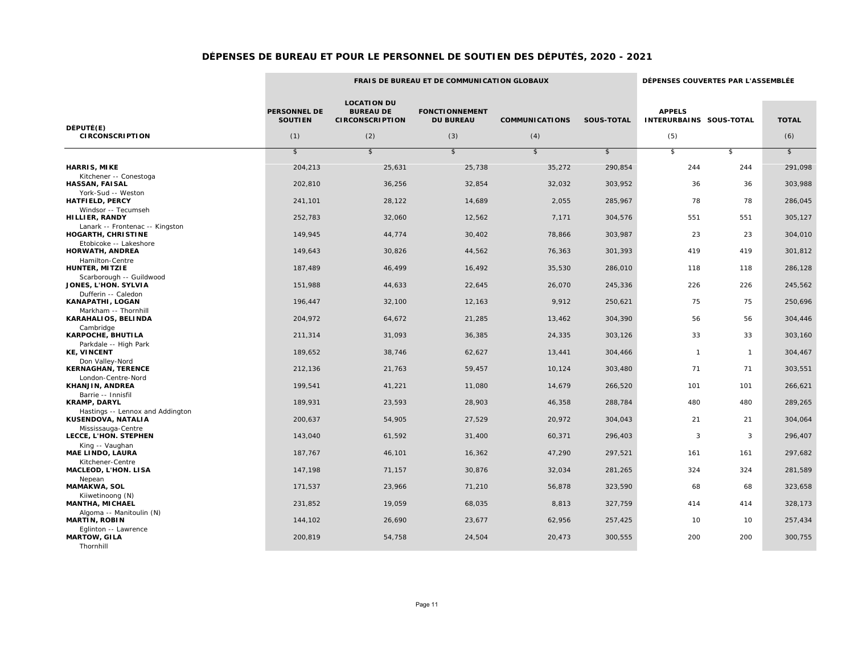|                                                          |                                       |                                                                  | FRAIS DE BUREAU ET DE COMMUNICATION GLOBAUX |                       |                   | DÉPENSES COUVERTES PAR L'ASSEMBLÉE       |              |              |  |
|----------------------------------------------------------|---------------------------------------|------------------------------------------------------------------|---------------------------------------------|-----------------------|-------------------|------------------------------------------|--------------|--------------|--|
| DÉPUTÉ(E)                                                | <b>PERSONNEL DE</b><br><b>SOUTIEN</b> | <b>LOCATION DU</b><br><b>BUREAU DE</b><br><b>CIRCONSCRIPTION</b> | <b>FONCTIONNEMENT</b><br><b>DU BUREAU</b>   | <b>COMMUNICATIONS</b> | <b>SOUS-TOTAL</b> | <b>APPELS</b><br>INTERURBAINS SOUS-TOTAL |              | <b>TOTAL</b> |  |
| <b>CIRCONSCRIPTION</b>                                   | (1)                                   | (2)                                                              | (3)                                         | (4)                   |                   | (5)                                      |              | (6)          |  |
|                                                          | $\mathsf{s}$                          | $\sqrt{2}$                                                       | $\mathsf{s}$                                | $\mathsf{s}$          | $\sqrt{2}$        | \$                                       | $\mathbf{s}$ | $\sqrt{2}$   |  |
| <b>HARRIS, MIKE</b>                                      | 204,213                               | 25,631                                                           | 25,738                                      | 35,272                | 290,854           | 244                                      | 244          | 291,098      |  |
| Kitchener -- Conestoga<br><b>HASSAN, FAISAL</b>          | 202,810                               | 36,256                                                           | 32,854                                      | 32,032                | 303,952           | 36                                       | 36           | 303,988      |  |
| York-Sud -- Weston<br><b>HATFIELD, PERCY</b>             | 241,101                               | 28,122                                                           | 14,689                                      | 2,055                 | 285,967           | 78                                       | 78           | 286,045      |  |
| Windsor -- Tecumseh<br>HILLIER, RANDY                    | 252,783                               | 32,060                                                           | 12,562                                      | 7,171                 | 304,576           | 551                                      | 551          | 305,127      |  |
| Lanark -- Frontenac -- Kingston<br>HOGARTH, CHRISTINE    | 149,945                               | 44,774                                                           | 30,402                                      | 78,866                | 303,987           | 23                                       | 23           | 304,010      |  |
| Etobicoke -- Lakeshore<br><b>HORWATH, ANDREA</b>         | 149,643                               | 30,826                                                           | 44,562                                      | 76,363                | 301,393           | 419                                      | 419          | 301,812      |  |
| Hamilton-Centre<br>HUNTER, MITZIE                        | 187,489                               | 46,499                                                           | 16,492                                      | 35,530                | 286,010           | 118                                      | 118          | 286,128      |  |
| Scarborough -- Guildwood<br>JONES, L'HON. SYLVIA         | 151,988                               | 44,633                                                           | 22,645                                      | 26,070                | 245,336           | 226                                      | 226          | 245,562      |  |
| Dufferin -- Caledon<br><b>KANAPATHI, LOGAN</b>           | 196,447                               | 32,100                                                           | 12,163                                      | 9,912                 | 250,621           | 75                                       | 75           | 250,696      |  |
| Markham -- Thornhill<br>KARAHALIOS, BELINDA              | 204,972                               | 64,672                                                           | 21,285                                      | 13,462                | 304,390           | 56                                       | 56           | 304,446      |  |
| Cambridge<br>KARPOCHE, BHUTILA                           | 211,314                               | 31,093                                                           | 36,385                                      | 24,335                | 303,126           | 33                                       | 33           | 303,160      |  |
| Parkdale -- High Park<br><b>KE, VINCENT</b>              | 189,652                               | 38,746                                                           | 62,627                                      | 13,441                | 304,466           | $\overline{1}$                           | $\mathbf{1}$ | 304,467      |  |
| Don Valley-Nord<br><b>KERNAGHAN, TERENCE</b>             | 212,136                               | 21,763                                                           | 59,457                                      | 10,124                | 303,480           | 71                                       | 71           | 303,551      |  |
| London-Centre-Nord<br>KHANJIN, ANDREA                    | 199,541                               | 41,221                                                           | 11,080                                      | 14,679                | 266,520           | 101                                      | 101          | 266,621      |  |
| Barrie -- Innisfil<br><b>KRAMP, DARYL</b>                | 189.931                               | 23,593                                                           | 28,903                                      | 46,358                | 288,784           | 480                                      | 480          | 289,265      |  |
| Hastings -- Lennox and Addington<br>KUSENDOVA, NATALIA   | 200,637                               | 54,905                                                           | 27,529                                      | 20,972                | 304,043           | 21                                       | 21           | 304,064      |  |
| Mississauga-Centre<br>LECCE, L'HON. STEPHEN              | 143,040                               | 61,592                                                           | 31,400                                      | 60,371                | 296,403           | 3                                        | 3            | 296,407      |  |
| King -- Vaughan<br><b>MAE LINDO, LAURA</b>               | 187,767                               | 46,101                                                           | 16,362                                      | 47,290                | 297,521           | 161                                      | 161          | 297,682      |  |
| Kitchener-Centre<br>MACLEOD, L'HON. LISA                 | 147,198                               | 71,157                                                           | 30,876                                      | 32,034                | 281,265           | 324                                      | 324          | 281,589      |  |
| Nepean<br><b>MAMAKWA, SOL</b>                            | 171,537                               | 23,966                                                           | 71,210                                      | 56,878                | 323,590           | 68                                       | 68           | 323,658      |  |
| Kiiwetinoong (N)<br>MANTHA, MICHAEL                      | 231,852                               | 19,059                                                           | 68,035                                      | 8,813                 | 327,759           | 414                                      | 414          | 328,173      |  |
| Algoma -- Manitoulin (N)<br><b>MARTIN, ROBIN</b>         | 144,102                               | 26,690                                                           | 23,677                                      | 62,956                | 257,425           | 10                                       | 10           | 257,434      |  |
| Eglinton -- Lawrence<br><b>MARTOW, GILA</b><br>Thornhill | 200,819                               | 54,758                                                           | 24,504                                      | 20,473                | 300,555           | 200                                      | 200          | 300,755      |  |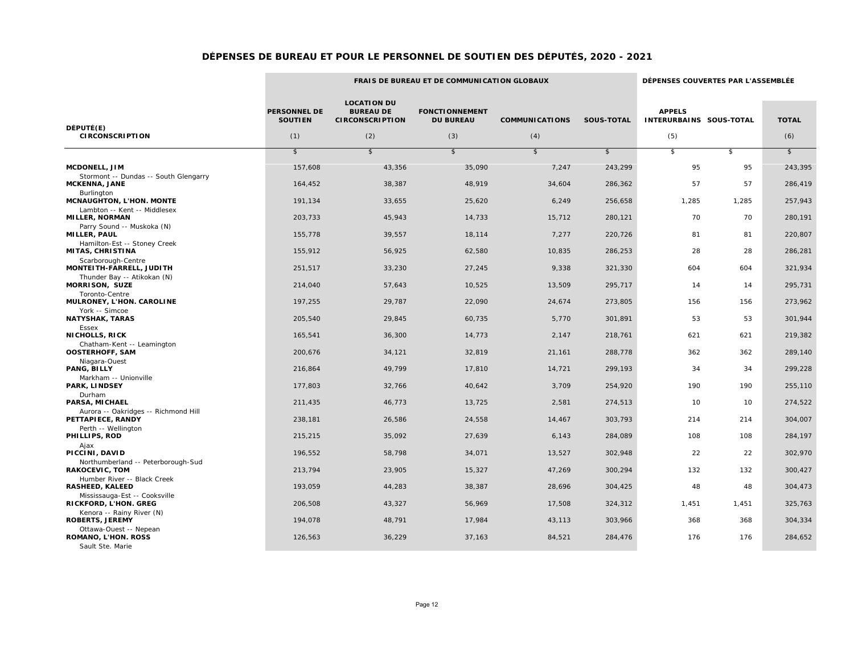the control of the control of the control of the control of the control of the control of

the control of the control of the control of the control of the control of

|                                                                                    |                                       | FRAIS DE BUREAU ET DE COMMUNICATION GLOBAUX                      |                                           |                         |            |                                          |            | DÉPENSES COUVERTES PAR L'ASSEMBLÉE |  |  |  |
|------------------------------------------------------------------------------------|---------------------------------------|------------------------------------------------------------------|-------------------------------------------|-------------------------|------------|------------------------------------------|------------|------------------------------------|--|--|--|
| DÉPUTÉ(E)                                                                          | <b>PERSONNEL DE</b><br><b>SOUTIEN</b> | <b>LOCATION DU</b><br><b>BUREAU DE</b><br><b>CIRCONSCRIPTION</b> | <b>FONCTIONNEMENT</b><br><b>DU BUREAU</b> | <b>COMMUNICATIONS</b>   | SOUS-TOTAL | <b>APPELS</b><br>INTERURBAINS SOUS-TOTAL |            | <b>TOTAL</b>                       |  |  |  |
| <b>CIRCONSCRIPTION</b>                                                             | (1)                                   | (2)                                                              | (3)                                       | (4)                     |            | (5)                                      |            | (6)                                |  |  |  |
|                                                                                    | $\sqrt{2}$                            | $\sqrt{2}$                                                       | $\sqrt{2}$                                | $\sqrt[6]{\frac{1}{2}}$ | $\sqrt{2}$ | $\sqrt{2}$                               | $\sqrt{2}$ | $\sqrt{2}$                         |  |  |  |
| MCDONELL, JIM                                                                      | 157,608                               | 43,356                                                           | 35,090                                    | 7,247                   | 243,299    | 95                                       | 95         | 243,395                            |  |  |  |
| Stormont -- Dundas -- South Glengarry<br><b>MCKENNA, JANE</b><br><b>Burlington</b> | 164,452                               | 38,387                                                           | 48,919                                    | 34,604                  | 286,362    | 57                                       | 57         | 286,419                            |  |  |  |
| MCNAUGHTON, L'HON. MONTE                                                           | 191,134                               | 33,655                                                           | 25,620                                    | 6,249                   | 256,658    | 1,285                                    | 1,285      | 257,943                            |  |  |  |
| Lambton -- Kent -- Middlesex<br><b>MILLER, NORMAN</b>                              | 203,733                               | 45,943                                                           | 14,733                                    | 15,712                  | 280,121    | 70                                       | 70         | 280,191                            |  |  |  |
| Parry Sound -- Muskoka (N)<br><b>MILLER, PAUL</b>                                  | 155,778                               | 39,557                                                           | 18,114                                    | 7,277                   | 220,726    | 81                                       | 81         | 220,807                            |  |  |  |
| Hamilton-Est -- Stoney Creek<br>MITAS, CHRISTINA                                   | 155,912                               | 56,925                                                           | 62,580                                    | 10,835                  | 286,253    | 28                                       | 28         | 286,281                            |  |  |  |
| Scarborough-Centre<br>MONTEITH-FARRELL, JUDITH                                     | 251,517                               | 33,230                                                           | 27,245                                    | 9,338                   | 321,330    | 604                                      | 604        | 321,934                            |  |  |  |
| Thunder Bay -- Atikokan (N)<br><b>MORRISON, SUZE</b>                               | 214,040                               | 57,643                                                           | 10,525                                    | 13,509                  | 295,717    | 14                                       | 14         | 295,731                            |  |  |  |
| Toronto-Centre<br>MULRONEY, L'HON. CAROLINE                                        | 197,255                               | 29,787                                                           | 22,090                                    | 24,674                  | 273,805    | 156                                      | 156        | 273,962                            |  |  |  |
| York -- Simcoe<br><b>NATYSHAK, TARAS</b>                                           | 205,540                               | 29,845                                                           | 60,735                                    | 5,770                   | 301,891    | 53                                       | 53         | 301,944                            |  |  |  |
| Essex<br><b>NICHOLLS, RICK</b>                                                     | 165,541                               | 36,300                                                           | 14,773                                    | 2,147                   | 218,761    | 621                                      | 621        | 219,382                            |  |  |  |
| Chatham-Kent -- Leamington<br><b>OOSTERHOFF, SAM</b>                               | 200,676                               | 34,121                                                           | 32,819                                    | 21,161                  | 288,778    | 362                                      | 362        | 289,140                            |  |  |  |
| Niagara-Ouest<br>PANG, BILLY                                                       | 216,864                               | 49,799                                                           | 17,810                                    | 14,721                  | 299,193    | 34                                       | 34         | 299,228                            |  |  |  |
| Markham -- Unionville<br>PARK, LINDSEY                                             | 177,803                               | 32,766                                                           | 40,642                                    | 3,709                   | 254,920    | 190                                      | 190        | 255,110                            |  |  |  |
| Durham<br>PARSA, MICHAEL                                                           | 211,435                               | 46,773                                                           | 13,725                                    | 2,581                   | 274,513    | 10                                       | 10         | 274,522                            |  |  |  |
| Aurora -- Oakridges -- Richmond Hill<br>PETTAPIECE, RANDY                          | 238,181                               | 26,586                                                           | 24,558                                    | 14,467                  | 303,793    | 214                                      | 214        | 304,007                            |  |  |  |
| Perth -- Wellington<br>PHILLIPS, ROD                                               | 215,215                               | 35,092                                                           | 27,639                                    | 6,143                   | 284,089    | 108                                      | 108        | 284,197                            |  |  |  |
| Ajax<br>PICCINI, DAVID                                                             | 196,552                               | 58,798                                                           | 34,071                                    | 13,527                  | 302,948    | 22                                       | 22         | 302,970                            |  |  |  |
| Northumberland -- Peterborough-Sud<br><b>RAKOCEVIC, TOM</b>                        | 213,794                               | 23,905                                                           | 15,327                                    | 47,269                  | 300,294    | 132                                      | 132        | 300,427                            |  |  |  |
| Humber River -- Black Creek<br><b>RASHEED, KALEED</b>                              | 193,059                               | 44,283                                                           | 38,387                                    | 28,696                  | 304,425    | 48                                       | 48         | 304,473                            |  |  |  |
| Mississauga-Est -- Cooksville<br>RICKFORD, L'HON. GREG                             | 206,508                               | 43,327                                                           | 56,969                                    | 17,508                  | 324,312    | 1,451                                    | 1,451      | 325,763                            |  |  |  |
| Kenora -- Rainy River (N)<br><b>ROBERTS, JEREMY</b>                                | 194,078                               | 48,791                                                           | 17,984                                    | 43,113                  | 303,966    | 368                                      | 368        | 304,334                            |  |  |  |
| Ottawa-Ouest -- Nepean<br>ROMANO, L'HON. ROSS<br>Sault Ste. Marie                  | 126,563                               | 36,229                                                           | 37,163                                    | 84,521                  | 284,476    | 176                                      | 176        | 284,652                            |  |  |  |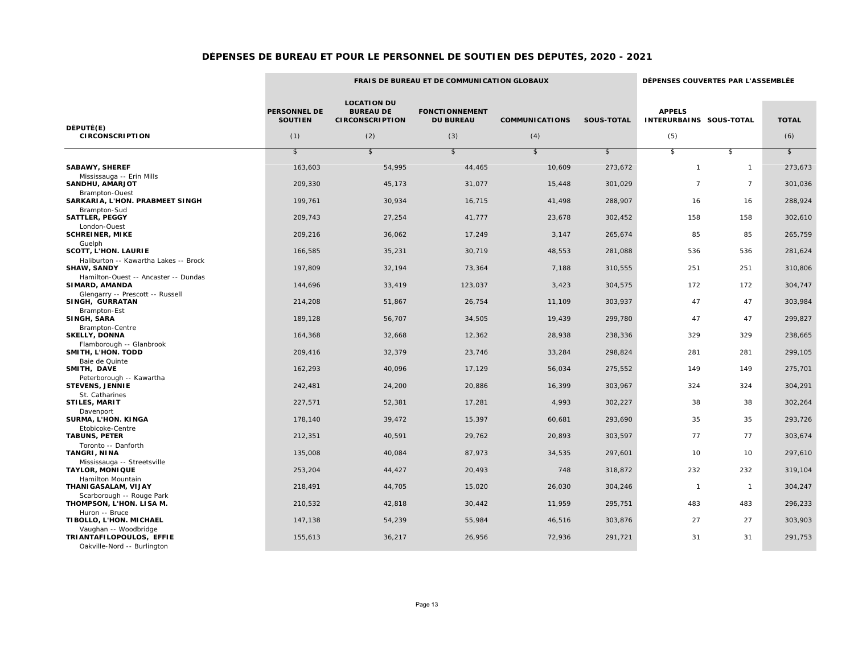|                                                                                  | FRAIS DE BUREAU ET DE COMMUNICATION GLOBAUX |                                                                  |                                           |                       |                   | DÉPENSES COUVERTES PAR L'ASSEMBLÉE       |                |              |
|----------------------------------------------------------------------------------|---------------------------------------------|------------------------------------------------------------------|-------------------------------------------|-----------------------|-------------------|------------------------------------------|----------------|--------------|
| DÉPUTÉ(E)                                                                        | <b>PERSONNEL DE</b><br><b>SOUTIEN</b>       | <b>LOCATION DU</b><br><b>BUREAU DE</b><br><b>CIRCONSCRIPTION</b> | <b>FONCTIONNEMENT</b><br><b>DU BUREAU</b> | <b>COMMUNICATIONS</b> | <b>SOUS-TOTAL</b> | <b>APPELS</b><br>INTERURBAINS SOUS-TOTAL |                | <b>TOTAL</b> |
| <b>CIRCONSCRIPTION</b>                                                           | (1)                                         | (2)                                                              | (3)                                       | (4)                   |                   | (5)                                      |                | (6)          |
|                                                                                  | $\mathfrak{s}$                              | $\sqrt{2}$                                                       | $\sqrt{2}$                                | $\sqrt{2}$            | $\sqrt{2}$        | $\sqrt{2}$                               | $\mathfrak{s}$ | $\sqrt{3}$   |
| <b>SABAWY, SHEREF</b>                                                            | 163,603                                     | 54,995                                                           | 44,465                                    | 10,609                | 273,672           | $\mathbf{1}$                             | $\mathbf{1}$   | 273,673      |
| Mississauga -- Erin Mills<br><b>SANDHU, AMARJOT</b>                              | 209,330                                     | 45,173                                                           | 31,077                                    | 15,448                | 301,029           | $\overline{7}$                           | $\overline{7}$ | 301,036      |
| <b>Brampton-Ouest</b><br>SARKARIA, L'HON. PRABMEET SINGH                         | 199,761                                     | 30,934                                                           | 16,715                                    | 41,498                | 288,907           | 16                                       | 16             | 288,924      |
| Brampton-Sud<br><b>SATTLER, PEGGY</b>                                            | 209,743                                     | 27,254                                                           | 41,777                                    | 23,678                | 302,452           | 158                                      | 158            | 302,610      |
| London-Ouest<br><b>SCHREINER, MIKE</b>                                           | 209,216                                     | 36,062                                                           | 17,249                                    | 3,147                 | 265,674           | 85                                       | 85             | 265,759      |
| Guelph<br><b>SCOTT, L'HON. LAURIE</b>                                            | 166,585                                     | 35,231                                                           | 30,719                                    | 48,553                | 281,088           | 536                                      | 536            | 281,624      |
| Haliburton -- Kawartha Lakes -- Brock<br><b>SHAW, SANDY</b>                      | 197,809                                     | 32,194                                                           | 73,364                                    | 7,188                 | 310,555           | 251                                      | 251            | 310,806      |
| Hamilton-Ouest -- Ancaster -- Dundas<br>SIMARD, AMANDA                           | 144,696                                     | 33,419                                                           | 123,037                                   | 3,423                 | 304,575           | 172                                      | 172            | 304,747      |
| Glengarry -- Prescott -- Russell<br>SINGH, GURRATAN                              | 214,208                                     | 51,867                                                           | 26,754                                    | 11,109                | 303,937           | 47                                       | 47             | 303,984      |
| Brampton-Est<br>SINGH, SARA                                                      | 189,128                                     | 56,707                                                           | 34,505                                    | 19,439                | 299,780           | 47                                       | 47             | 299,827      |
| <b>Brampton-Centre</b><br><b>SKELLY, DONNA</b>                                   | 164,368                                     | 32,668                                                           | 12,362                                    | 28,938                | 238,336           | 329                                      | 329            | 238,665      |
| Flamborough -- Glanbrook<br>SMITH, L'HON. TODD                                   | 209,416                                     | 32,379                                                           | 23,746                                    | 33,284                | 298,824           | 281                                      | 281            | 299,105      |
| Baie de Quinte<br>SMITH, DAVE                                                    | 162,293                                     | 40,096                                                           | 17,129                                    | 56,034                | 275,552           | 149                                      | 149            | 275,701      |
| Peterborough -- Kawartha<br><b>STEVENS, JENNIE</b>                               | 242,481                                     | 24,200                                                           | 20,886                                    | 16,399                | 303,967           | 324                                      | 324            | 304,291      |
| St. Catharines<br>STILES, MARIT                                                  | 227,571                                     | 52,381                                                           | 17,281                                    | 4,993                 | 302,227           | 38                                       | 38             | 302,264      |
| Davenport<br>SURMA, L'HON. KINGA                                                 | 178,140                                     | 39,472                                                           | 15,397                                    | 60,681                | 293,690           | 35                                       | 35             | 293,726      |
| Etobicoke-Centre<br><b>TABUNS, PETER</b>                                         | 212,351                                     | 40,591                                                           | 29,762                                    | 20,893                | 303,597           | 77                                       | 77             | 303,674      |
| Toronto -- Danforth<br><b>TANGRI, NINA</b>                                       | 135,008                                     | 40,084                                                           | 87,973                                    | 34,535                | 297,601           | 10                                       | 10             | 297,610      |
| Mississauga -- Streetsville<br><b>TAYLOR, MONIQUE</b>                            | 253,204                                     | 44,427                                                           | 20,493                                    | 748                   | 318,872           | 232                                      | 232            | 319,104      |
| Hamilton Mountain<br>THANIGASALAM, VIJAY                                         | 218,491                                     | 44,705                                                           | 15,020                                    | 26,030                | 304,246           | $\mathbf{1}$                             | $\overline{1}$ | 304,247      |
| Scarborough -- Rouge Park<br>THOMPSON, L'HON. LISA M.                            | 210,532                                     | 42,818                                                           | 30,442                                    | 11,959                | 295,751           | 483                                      | 483            | 296,233      |
| Huron -- Bruce<br>TIBOLLO, L'HON. MICHAEL                                        | 147,138                                     | 54,239                                                           | 55,984                                    | 46,516                | 303,876           | 27                                       | 27             | 303,903      |
| Vaughan -- Woodbridge<br>TRIANTAFILOPOULOS, EFFIE<br>Oakville-Nord -- Burlington | 155,613                                     | 36,217                                                           | 26,956                                    | 72,936                | 291,721           | 31                                       | 31             | 291,753      |